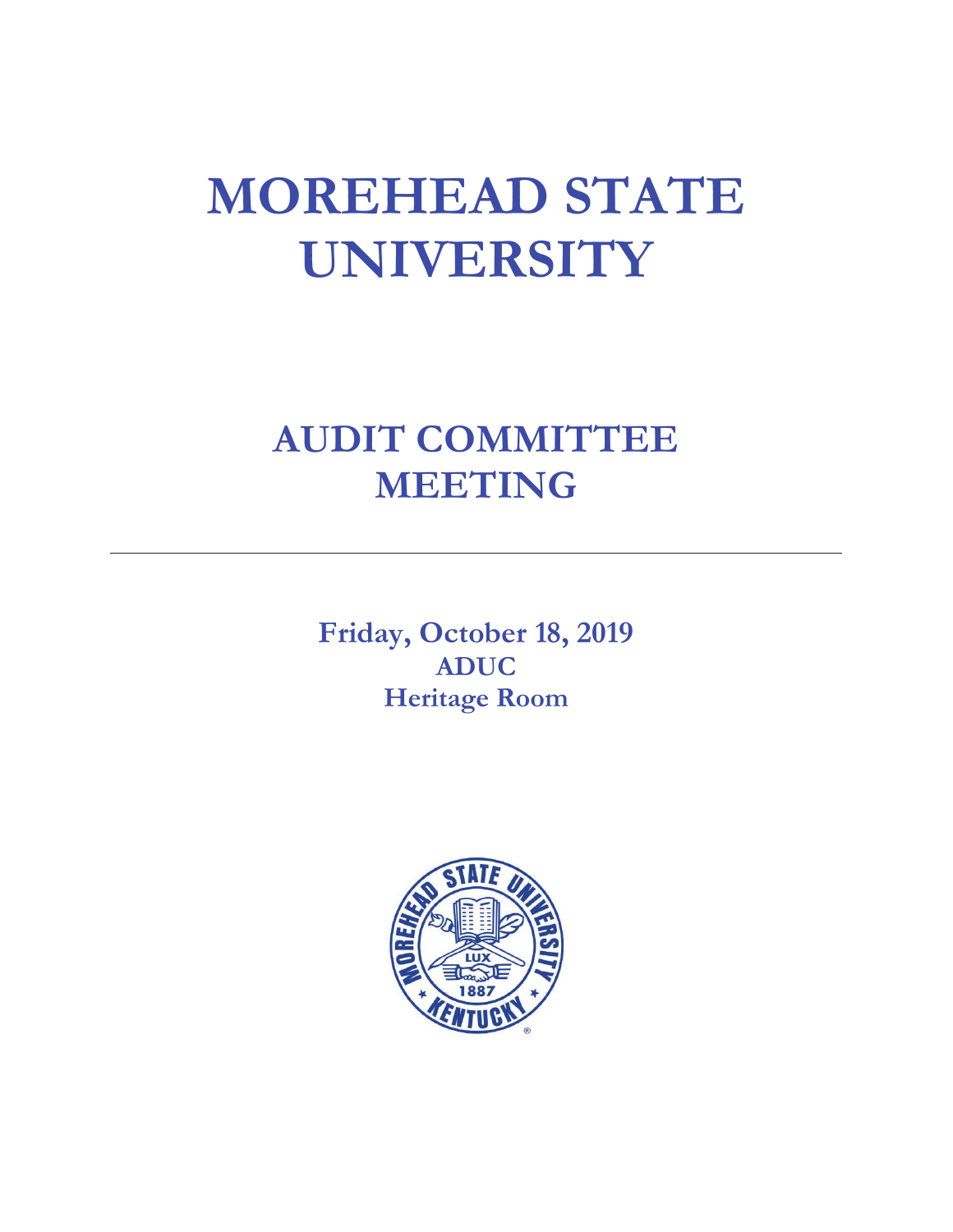# **MOREHEAD STATE UNIVERSITY**

# **AUDIT COMMITTEE MEETING**

**Friday, October 18, 2019 ADUC Heritage Room**

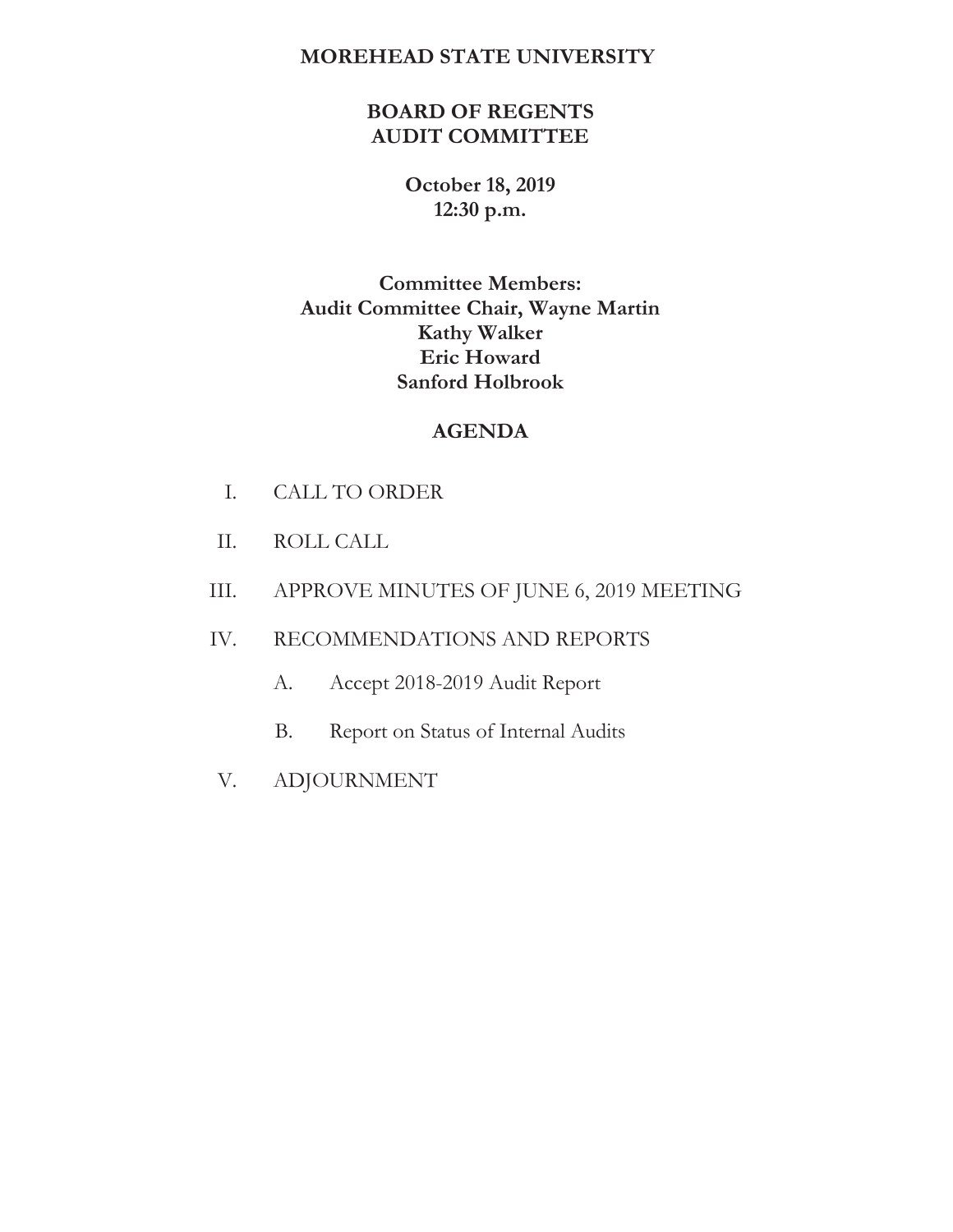### **MOREHEAD STATE UNIVERSITY**

# **BOARD OF REGENTS AUDIT COMMITTEE**

# **October 18, 2019 12:30 p.m.**

# **Committee Members: Audit Committee Chair, Wayne Martin Kathy Walker Eric Howard Sanford Holbrook**

# **AGENDA**

- I. CALL TO ORDER
- II. ROLL CALL
- III. APPROVE MINUTES OF JUNE 6, 2019 MEETING

## IV. RECOMMENDATIONS AND REPORTS

- A. Accept 2018-2019 Audit Report
- B. Report on Status of Internal Audits
- V. ADJOURNMENT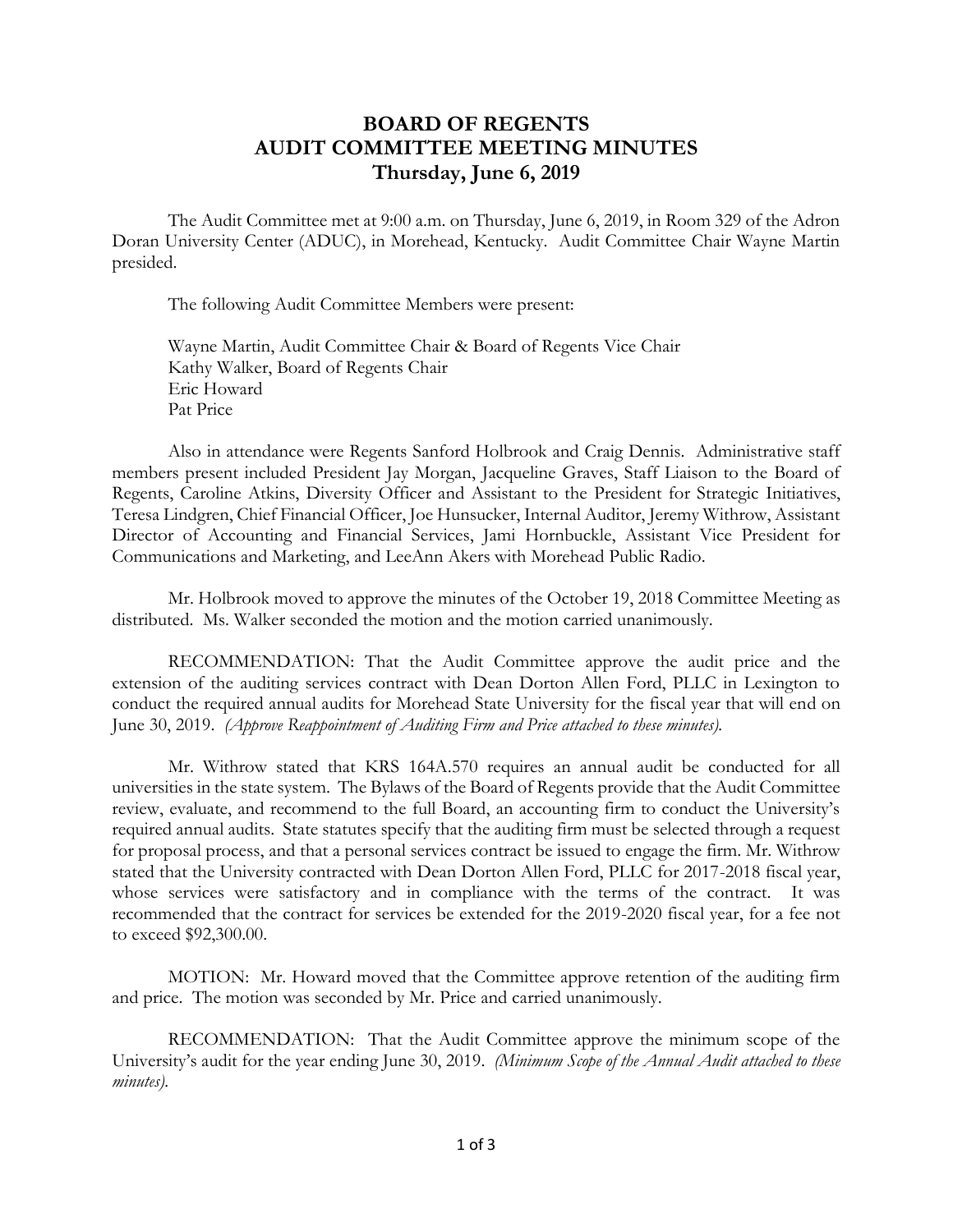# **BOARD OF REGENTS AUDIT COMMITTEE MEETING MINUTES Thursday, June 6, 2019**

The Audit Committee met at 9:00 a.m. on Thursday, June 6, 2019, in Room 329 of the Adron Doran University Center (ADUC), in Morehead, Kentucky. Audit Committee Chair Wayne Martin presided.

The following Audit Committee Members were present:

Wayne Martin, Audit Committee Chair & Board of Regents Vice Chair Kathy Walker, Board of Regents Chair Eric Howard Pat Price

Also in attendance were Regents Sanford Holbrook and Craig Dennis. Administrative staff members present included President Jay Morgan, Jacqueline Graves, Staff Liaison to the Board of Regents, Caroline Atkins, Diversity Officer and Assistant to the President for Strategic Initiatives, Teresa Lindgren, Chief Financial Officer, Joe Hunsucker, Internal Auditor, Jeremy Withrow, Assistant Director of Accounting and Financial Services, Jami Hornbuckle, Assistant Vice President for Communications and Marketing, and LeeAnn Akers with Morehead Public Radio.

Mr. Holbrook moved to approve the minutes of the October 19, 2018 Committee Meeting as distributed. Ms. Walker seconded the motion and the motion carried unanimously.

RECOMMENDATION: That the Audit Committee approve the audit price and the extension of the auditing services contract with Dean Dorton Allen Ford, PLLC in Lexington to conduct the required annual audits for Morehead State University for the fiscal year that will end on June 30, 2019. *(Approve Reappointment of Auditing Firm and Price attached to these minutes).*

Mr. Withrow stated that KRS 164A.570 requires an annual audit be conducted for all universities in the state system. The Bylaws of the Board of Regents provide that the Audit Committee review, evaluate, and recommend to the full Board, an accounting firm to conduct the University's required annual audits. State statutes specify that the auditing firm must be selected through a request for proposal process, and that a personal services contract be issued to engage the firm. Mr. Withrow stated that the University contracted with Dean Dorton Allen Ford, PLLC for 2017-2018 fiscal year, whose services were satisfactory and in compliance with the terms of the contract. It was recommended that the contract for services be extended for the 2019-2020 fiscal year, for a fee not to exceed \$92,300.00.

MOTION: Mr. Howard moved that the Committee approve retention of the auditing firm and price. The motion was seconded by Mr. Price and carried unanimously.

RECOMMENDATION: That the Audit Committee approve the minimum scope of the University's audit for the year ending June 30, 2019. *(Minimum Scope of the Annual Audit attached to these minutes).*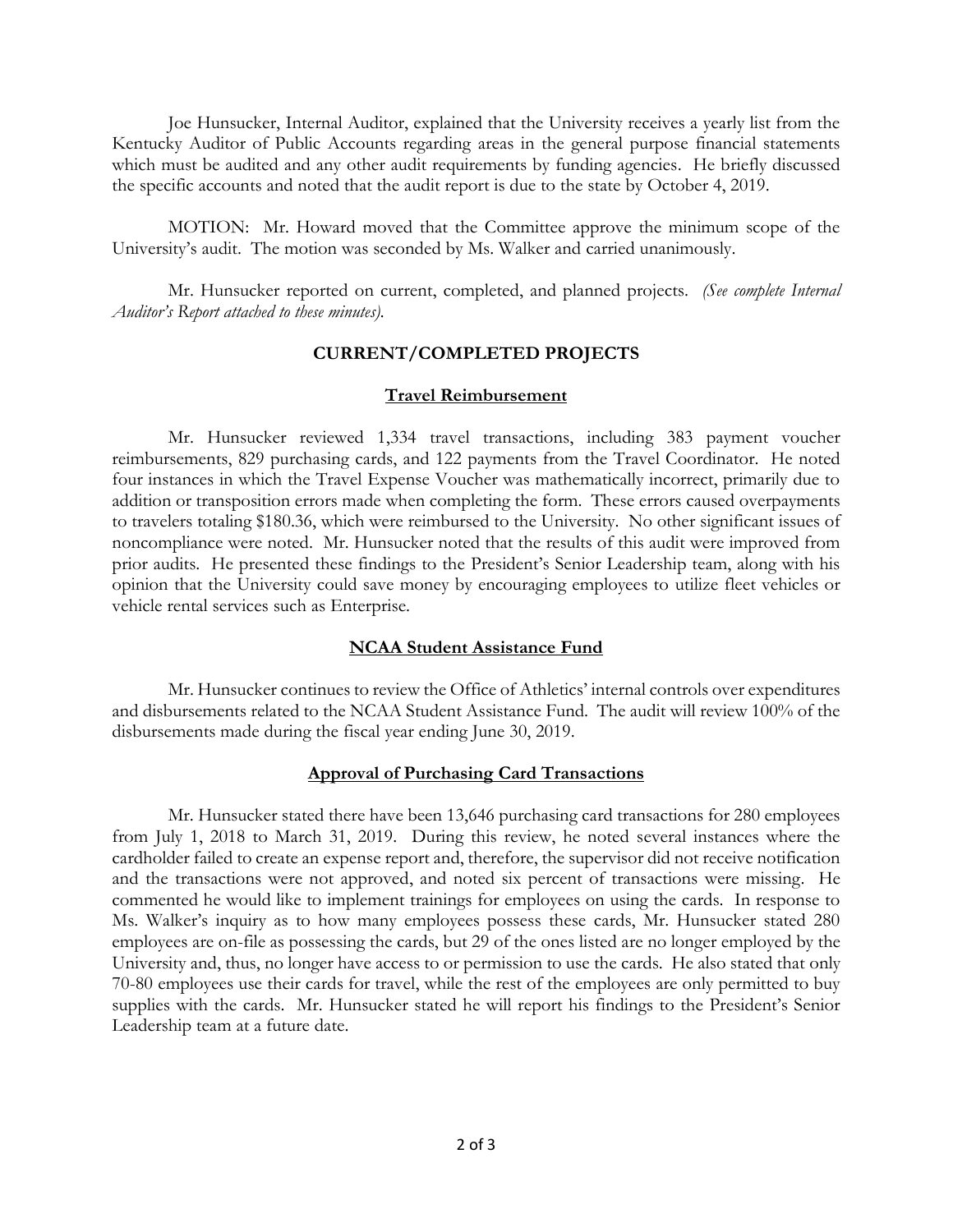Joe Hunsucker, Internal Auditor, explained that the University receives a yearly list from the Kentucky Auditor of Public Accounts regarding areas in the general purpose financial statements which must be audited and any other audit requirements by funding agencies. He briefly discussed the specific accounts and noted that the audit report is due to the state by October 4, 2019.

MOTION: Mr. Howard moved that the Committee approve the minimum scope of the University's audit. The motion was seconded by Ms. Walker and carried unanimously.

Mr. Hunsucker reported on current, completed, and planned projects. *(See complete Internal Auditor's Report attached to these minutes).*

#### **CURRENT/COMPLETED PROJECTS**

#### **Travel Reimbursement**

Mr. Hunsucker reviewed 1,334 travel transactions, including 383 payment voucher reimbursements, 829 purchasing cards, and 122 payments from the Travel Coordinator. He noted four instances in which the Travel Expense Voucher was mathematically incorrect, primarily due to addition or transposition errors made when completing the form. These errors caused overpayments to travelers totaling \$180.36, which were reimbursed to the University. No other significant issues of noncompliance were noted. Mr. Hunsucker noted that the results of this audit were improved from prior audits. He presented these findings to the President's Senior Leadership team, along with his opinion that the University could save money by encouraging employees to utilize fleet vehicles or vehicle rental services such as Enterprise.

#### **NCAA Student Assistance Fund**

Mr. Hunsucker continues to review the Office of Athletics' internal controls over expenditures and disbursements related to the NCAA Student Assistance Fund. The audit will review 100% of the disbursements made during the fiscal year ending June 30, 2019.

#### **Approval of Purchasing Card Transactions**

Mr. Hunsucker stated there have been 13,646 purchasing card transactions for 280 employees from July 1, 2018 to March 31, 2019. During this review, he noted several instances where the cardholder failed to create an expense report and, therefore, the supervisor did not receive notification and the transactions were not approved, and noted six percent of transactions were missing. He commented he would like to implement trainings for employees on using the cards. In response to Ms. Walker's inquiry as to how many employees possess these cards, Mr. Hunsucker stated 280 employees are on-file as possessing the cards, but 29 of the ones listed are no longer employed by the University and, thus, no longer have access to or permission to use the cards. He also stated that only 70-80 employees use their cards for travel, while the rest of the employees are only permitted to buy supplies with the cards. Mr. Hunsucker stated he will report his findings to the President's Senior Leadership team at a future date.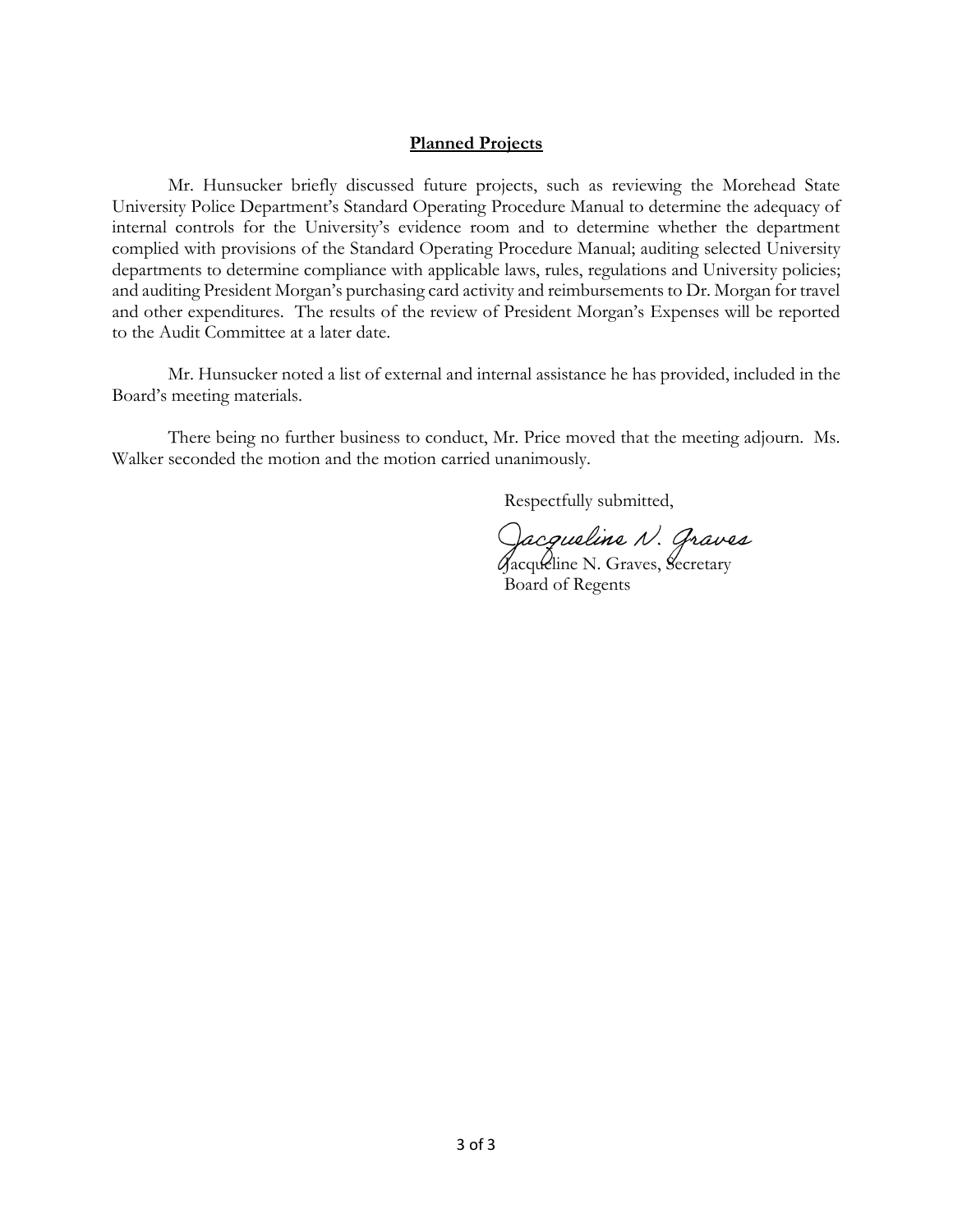#### **Planned Projects**

Mr. Hunsucker briefly discussed future projects, such as reviewing the Morehead State University Police Department's Standard Operating Procedure Manual to determine the adequacy of internal controls for the University's evidence room and to determine whether the department complied with provisions of the Standard Operating Procedure Manual; auditing selected University departments to determine compliance with applicable laws, rules, regulations and University policies; and auditing President Morgan's purchasing card activity and reimbursements to Dr. Morgan for travel and other expenditures. The results of the review of President Morgan's Expenses will be reported to the Audit Committee at a later date.

Mr. Hunsucker noted a list of external and internal assistance he has provided, included in the Board's meeting materials.

There being no further business to conduct, Mr. Price moved that the meeting adjourn. Ms. Walker seconded the motion and the motion carried unanimously.

Respectfully submitted,

Jacqueline N. Graves

Board of Regents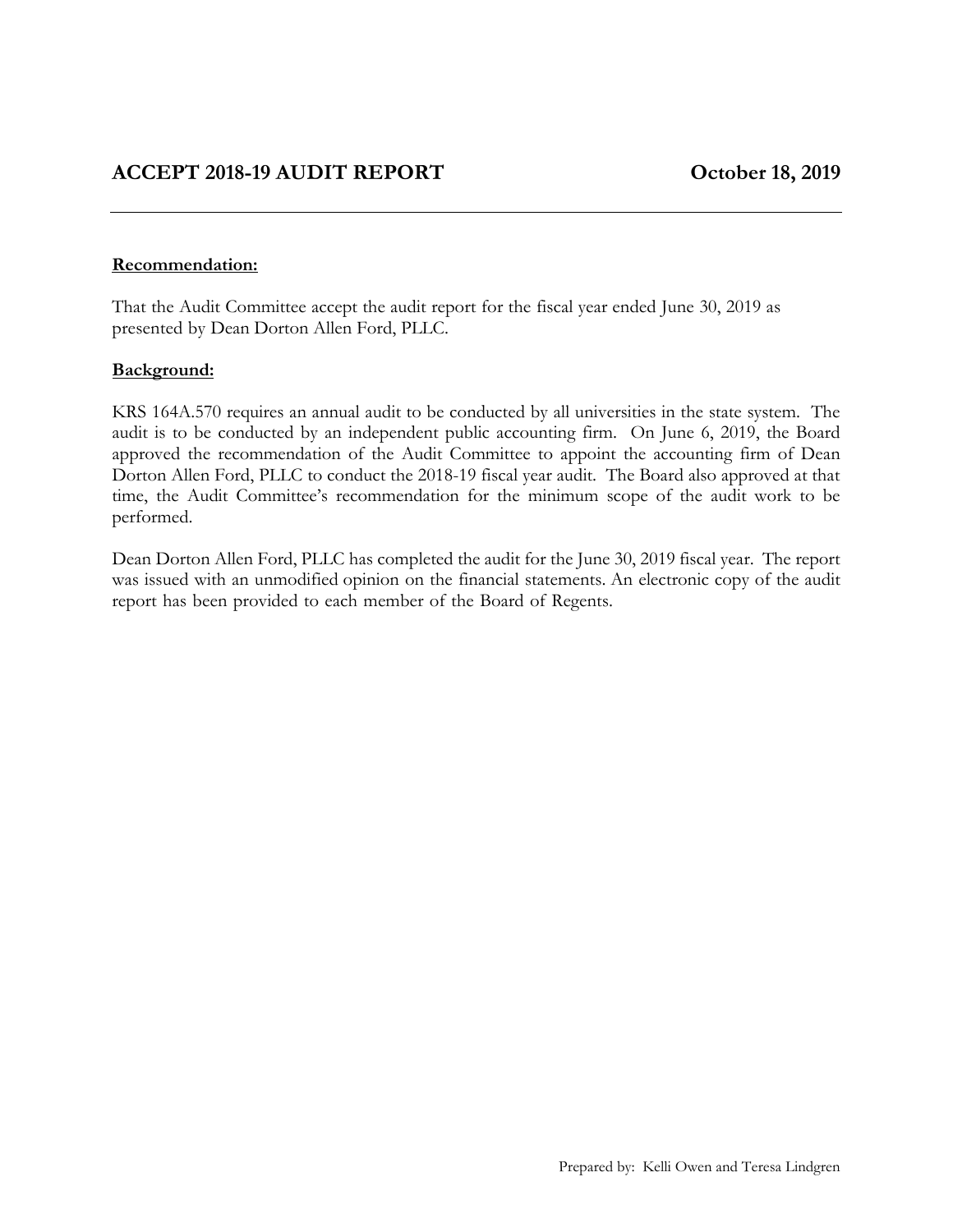#### **Recommendation:**

That the Audit Committee accept the audit report for the fiscal year ended June 30, 2019 as presented by Dean Dorton Allen Ford, PLLC.

#### **Background:**

KRS 164A.570 requires an annual audit to be conducted by all universities in the state system. The audit is to be conducted by an independent public accounting firm. On June 6, 2019, the Board approved the recommendation of the Audit Committee to appoint the accounting firm of Dean Dorton Allen Ford, PLLC to conduct the 2018-19 fiscal year audit. The Board also approved at that time, the Audit Committee's recommendation for the minimum scope of the audit work to be performed.

Dean Dorton Allen Ford, PLLC has completed the audit for the June 30, 2019 fiscal year. The report was issued with an unmodified opinion on the financial statements. An electronic copy of the audit report has been provided to each member of the Board of Regents.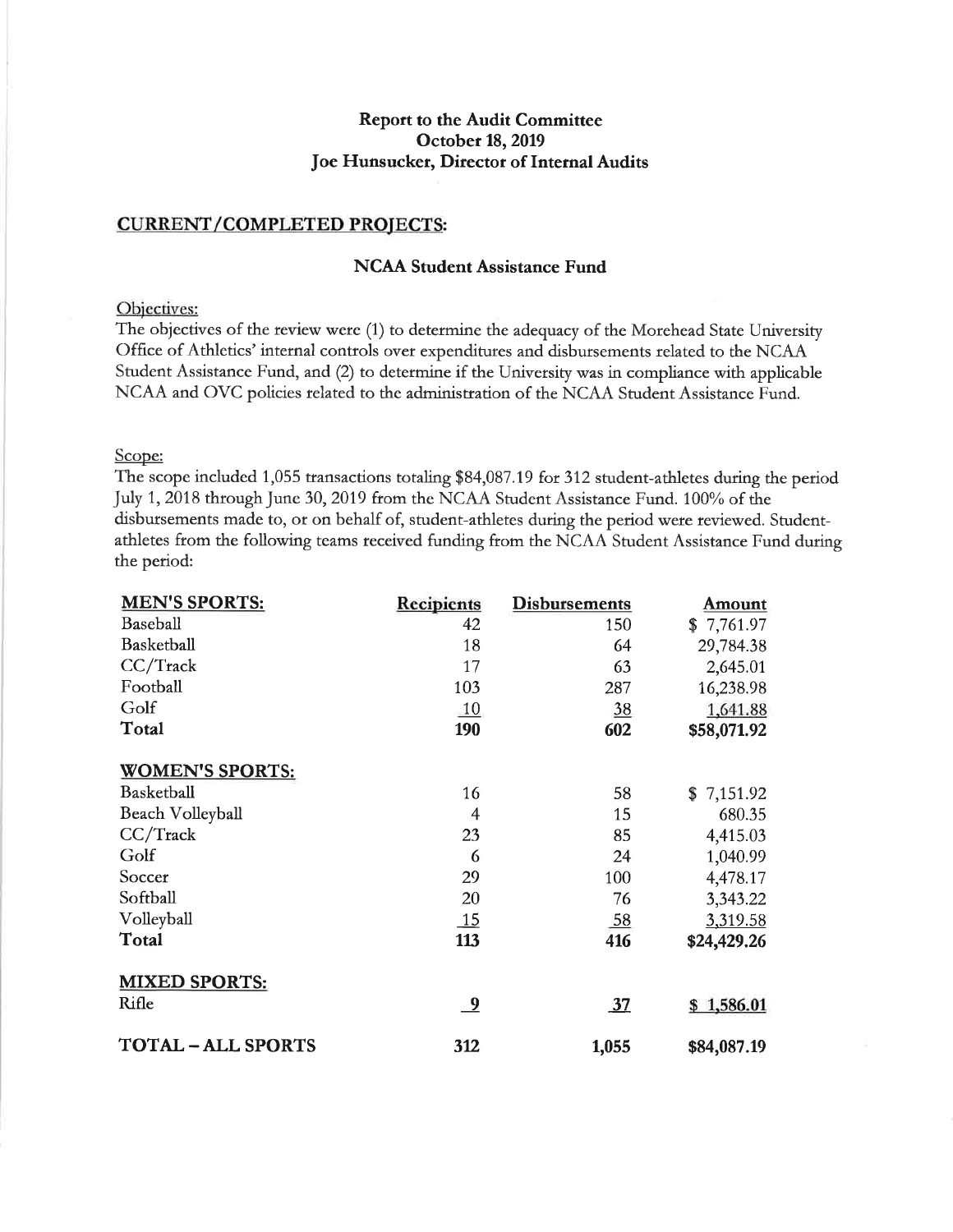#### **Report to the Audit Committee** October 18, 2019 Joe Hunsucker, Director of Internal Audits

#### **CURRENT/COMPLETED PROJECTS:**

#### **NCAA Student Assistance Fund**

#### Objectives:

The objectives of the review were (1) to determine the adequacy of the Morehead State University Office of Athletics' internal controls over expenditures and disbursements related to the NCAA Student Assistance Fund, and (2) to determine if the University was in compliance with applicable NCAA and OVC policies related to the administration of the NCAA Student Assistance Fund.

#### Scope:

The scope included 1,055 transactions totaling \$84,087.19 for 312 student-athletes during the period July 1, 2018 through June 30, 2019 from the NCAA Student Assistance Fund. 100% of the disbursements made to, or on behalf of, student-athletes during the period were reviewed. Studentathletes from the following teams received funding from the NCAA Student Assistance Fund during the period:

| <b>MEN'S SPORTS:</b>    | <b>Recipients</b>       | <b>Disbursements</b> | <u>Amount</u> |
|-------------------------|-------------------------|----------------------|---------------|
| Baseball                | 42                      | 150                  | \$7,761.97    |
| Basketball              | 18                      | 64                   | 29,784.38     |
| CC/Track                | 17                      | 63                   | 2,645.01      |
| Football                | 103                     | 287                  | 16,238.98     |
| Golf                    | 10                      | 38                   | 1,641.88      |
| Total                   | 190                     | 602                  | \$58,071.92   |
| <b>WOMEN'S SPORTS:</b>  |                         |                      |               |
| Basketball              | 16                      | 58                   | \$7,151.92    |
| Beach Volleyball        | 4                       | 15                   | 680.35        |
| $CC/T$ rack             | 23                      | 85                   | 4,415.03      |
| Golf                    | 6                       | 24                   | 1,040.99      |
| Soccer                  | 29                      | 100                  | 4,478.17      |
| Softball                | 20                      | 76                   | 3,343.22      |
| Volleyball              | 15                      | $\underline{58}$     | 3,319.58      |
| Total                   | 113                     | 416                  | \$24,429.26   |
| <b>MIXED SPORTS:</b>    |                         |                      |               |
| Rifle                   | $\overline{\mathbf{a}}$ | 37                   | \$1,586.01    |
| <b>TOTAL-ALL SPORTS</b> | 312                     | 1,055                | \$84,087.19   |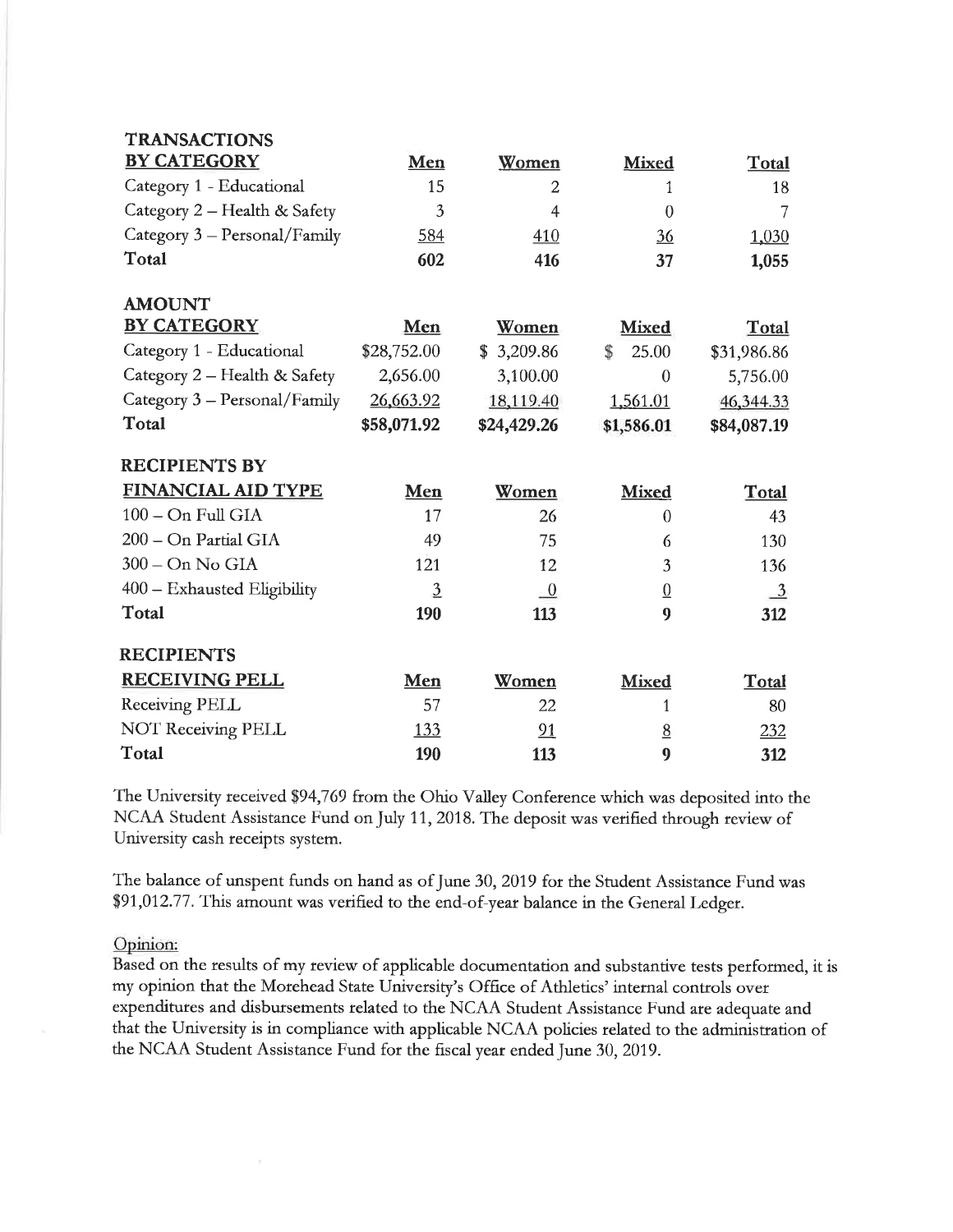| <b>TRANSACTIONS</b>            |                |                            |                  |               |
|--------------------------------|----------------|----------------------------|------------------|---------------|
| <b>BY CATEGORY</b>             | Men            | Women                      | <b>Mixed</b>     | Total         |
| Category 1 - Educational       | 15             | $\overline{2}$             | 1                | 18            |
| Category 2 - Health & Safety   | 3              | 4                          | $\Omega$         | 7             |
| Category $3 -$ Personal/Family | 584            | 410                        | $\frac{36}{5}$   | 1,030         |
| Total                          | 602            | 416                        | 37               | 1,055         |
| <b>AMOUNT</b>                  |                |                            |                  |               |
| <b>BY CATEGORY</b>             | Men            | Women                      | <b>Mixed</b>     | Total         |
| Category 1 - Educational       | \$28,752.00    | \$3,209.86                 | 25.00<br>\$      | \$31,986.86   |
| Category 2 - Health & Safety   | 2,656.00       | 3,100.00                   | $\theta$         | 5,756.00      |
| Category 3 - Personal/Family   | 26,663.92      | 18,119.40                  | 1,561.01         | 46,344.33     |
| Total                          | \$58,071.92    | \$24,429.26                | \$1,586.01       | \$84,087.19   |
| <b>RECIPIENTS BY</b>           |                |                            |                  |               |
| <b>FINANCIAL AID TYPE</b>      | <b>Men</b>     | Women                      | <b>Mixed</b>     | Total         |
| 100 - On Full GIA              | 17             | 26                         | $\mathbf{0}$     | 43            |
| 200 - On Partial GIA           | 49             | 75                         | 6                | 130           |
| $300 - On$ No GIA              | 121            | 12                         | 3                | 136           |
| 400 - Exhausted Eligibility    | $\overline{3}$ | $\overline{\phantom{0}}^0$ | $\overline{0}$   | $\frac{3}{2}$ |
| Total                          | 190            | 113                        | $\boldsymbol{9}$ | 312           |
| <b>RECIPIENTS</b>              |                |                            |                  |               |
| <b>RECEIVING PELL</b>          | Men            | Women                      | <b>Mixed</b>     | Total         |
| Receiving PELL                 | 57             | 22                         | 1                | 80            |
| <b>NOT Receiving PELL</b>      | <u>133</u>     | 91                         | $\underline{8}$  | 232           |
| Total                          | 190            | 113                        | $\boldsymbol{9}$ | 312           |

The University received \$94,769 from the Ohio Valley Conference which was deposited into the NCAA Student Assistance Fund on July 11, 2018. The deposit was verified through review of University cash receipts system.

The balance of unspent funds on hand as of June 30, 2019 for the Student Assistance Fund was \$91,012.77. This amount was verified to the end-of-year balance in the General Ledger.

#### Opinion:

Based on the results of my review of applicable documentation and substantive tests performed, it is my opinion that the Morehead State University's Office of Athletics' internal controls over expenditures and disbursements related to the NCAA Student Assistance Fund are adequate and that the University is in compliance with applicable NCAA policies related to the administration of the NCAA Student Assistance Fund for the fiscal year ended June 30, 2019.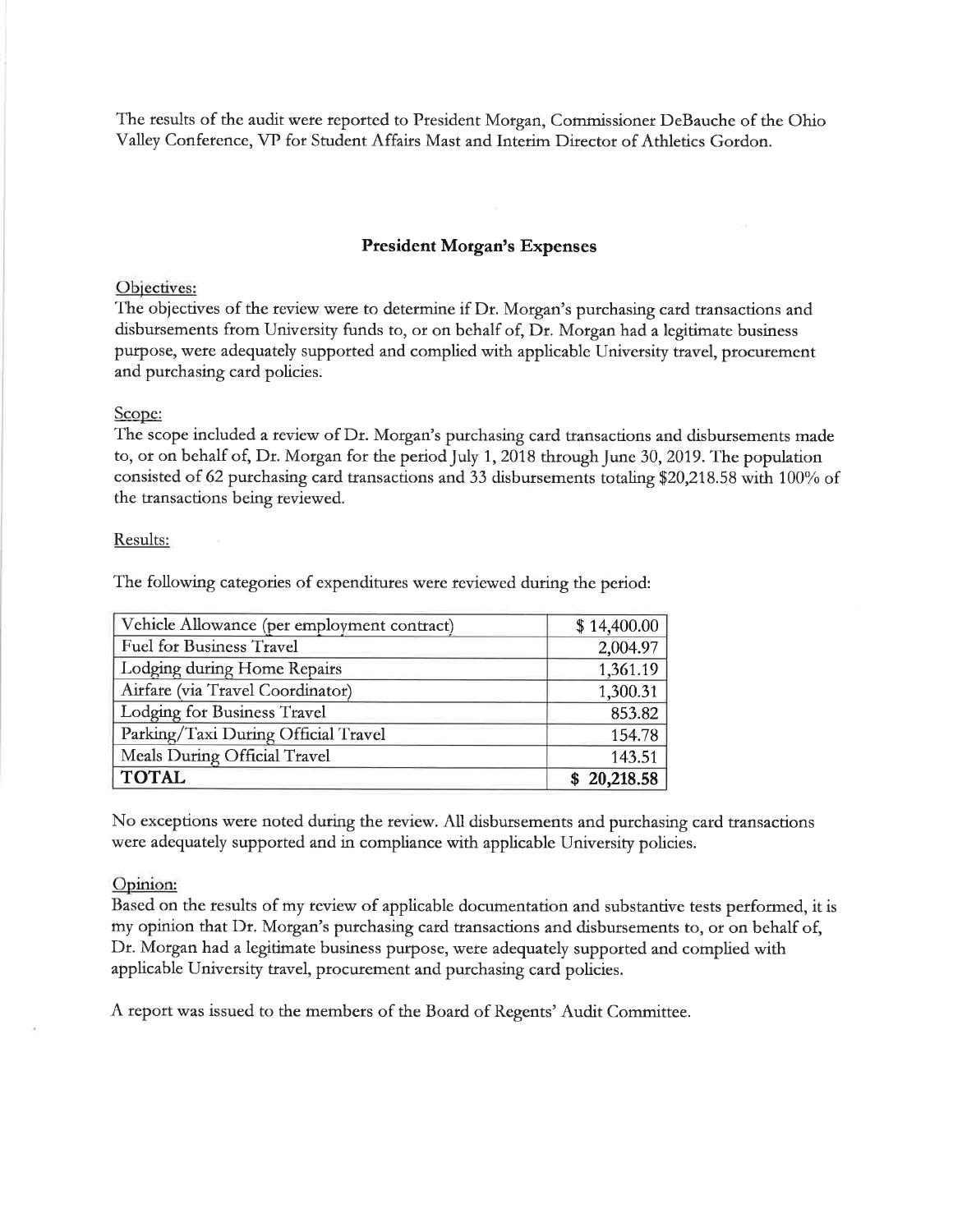The results of the audit were reported to President Morgan, Commissioner DeBauche of the Ohio Valley Conference, VP for Student Affairs Mast and Interim Director of Athletics Gordon.

#### **President Morgan's Expenses**

#### Objectives:

The objectives of the review were to determine if Dr. Morgan's purchasing card transactions and disbursements from University funds to, or on behalf of, Dr. Morgan had a legitimate business purpose, were adequately supported and complied with applicable University travel, procurement and purchasing card policies.

#### Scope:

The scope included a review of Dr. Morgan's purchasing card transactions and disbursements made to, or on behalf of, Dr. Morgan for the period July 1, 2018 through June 30, 2019. The population consisted of 62 purchasing card transactions and 33 disbursements totaling \$20,218.58 with 100% of the transactions being reviewed.

#### Results:

The following categories of expenditures were reviewed during the period:

| Vehicle Allowance (per employment contract) | \$14,400.00 |
|---------------------------------------------|-------------|
| <b>Fuel for Business Travel</b>             | 2,004.97    |
| Lodging during Home Repairs                 | 1,361.19    |
| Airfare (via Travel Coordinator)            | 1,300.31    |
| Lodging for Business Travel                 | 853.82      |
| Parking/Taxi During Official Travel         | 154.78      |
| Meals During Official Travel                | 143.51      |
| <b>TOTAL</b>                                | \$20,218.58 |

No exceptions were noted during the review. All disbursements and purchasing card transactions were adequately supported and in compliance with applicable University policies.

#### Opinion:

Based on the results of my review of applicable documentation and substantive tests performed, it is my opinion that Dr. Morgan's purchasing card transactions and disbursements to, or on behalf of, Dr. Morgan had a legitimate business purpose, were adequately supported and complied with applicable University travel, procurement and purchasing card policies.

A report was issued to the members of the Board of Regents' Audit Committee.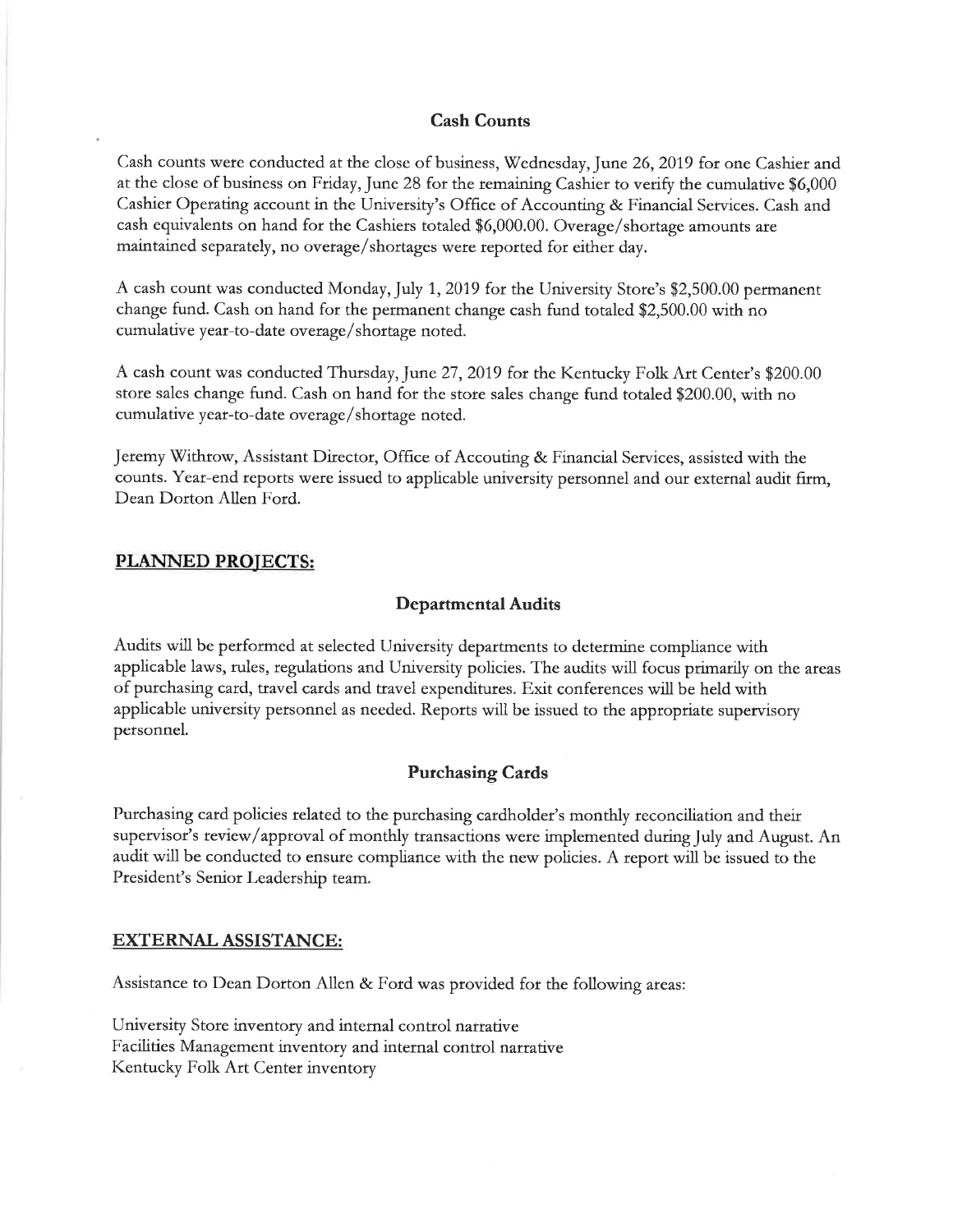#### **Cash Counts**

Cash counts were conducted at the close of business, Wednesday, June 26, 2019 for one Cashier and at the close of business on Friday, June 28 for the remaining Cashier to verify the cumulative \$6,000 Cashier Operating account in the University's Office of Accounting & Financial Services. Cash and cash equivalents on hand for the Cashiers totaled \$6,000.00. Overage/shortage amounts are maintained separately, no overage/shortages were reported for either day.

A cash count was conducted Monday, July 1, 2019 for the University Store's \$2,500.00 permanent change fund. Cash on hand for the permanent change cash fund totaled \$2,500.00 with no cumulative year-to-date overage/shortage noted.

A cash count was conducted Thursday, June 27, 2019 for the Kentucky Folk Art Center's \$200.00 store sales change fund. Cash on hand for the store sales change fund totaled \$200.00, with no cumulative year-to-date overage/shortage noted.

Jeremy Withrow, Assistant Director, Office of Accouting & Financial Services, assisted with the counts. Year-end reports were issued to applicable university personnel and our external audit firm, Dean Dorton Allen Ford.

#### **PLANNED PROJECTS:**

#### **Departmental Audits**

Audits will be performed at selected University departments to determine compliance with applicable laws, rules, regulations and University policies. The audits will focus primarily on the areas of purchasing card, travel cards and travel expenditures. Exit conferences will be held with applicable university personnel as needed. Reports will be issued to the appropriate supervisory personnel.

#### **Purchasing Cards**

Purchasing card policies related to the purchasing cardholder's monthly reconciliation and their supervisor's review/approval of monthly transactions were implemented during July and August. An audit will be conducted to ensure compliance with the new policies. A report will be issued to the President's Senior Leadership team.

#### **EXTERNAL ASSISTANCE:**

Assistance to Dean Dorton Allen & Ford was provided for the following areas:

University Store inventory and internal control narrative Facilities Management inventory and internal control narrative Kentucky Folk Art Center inventory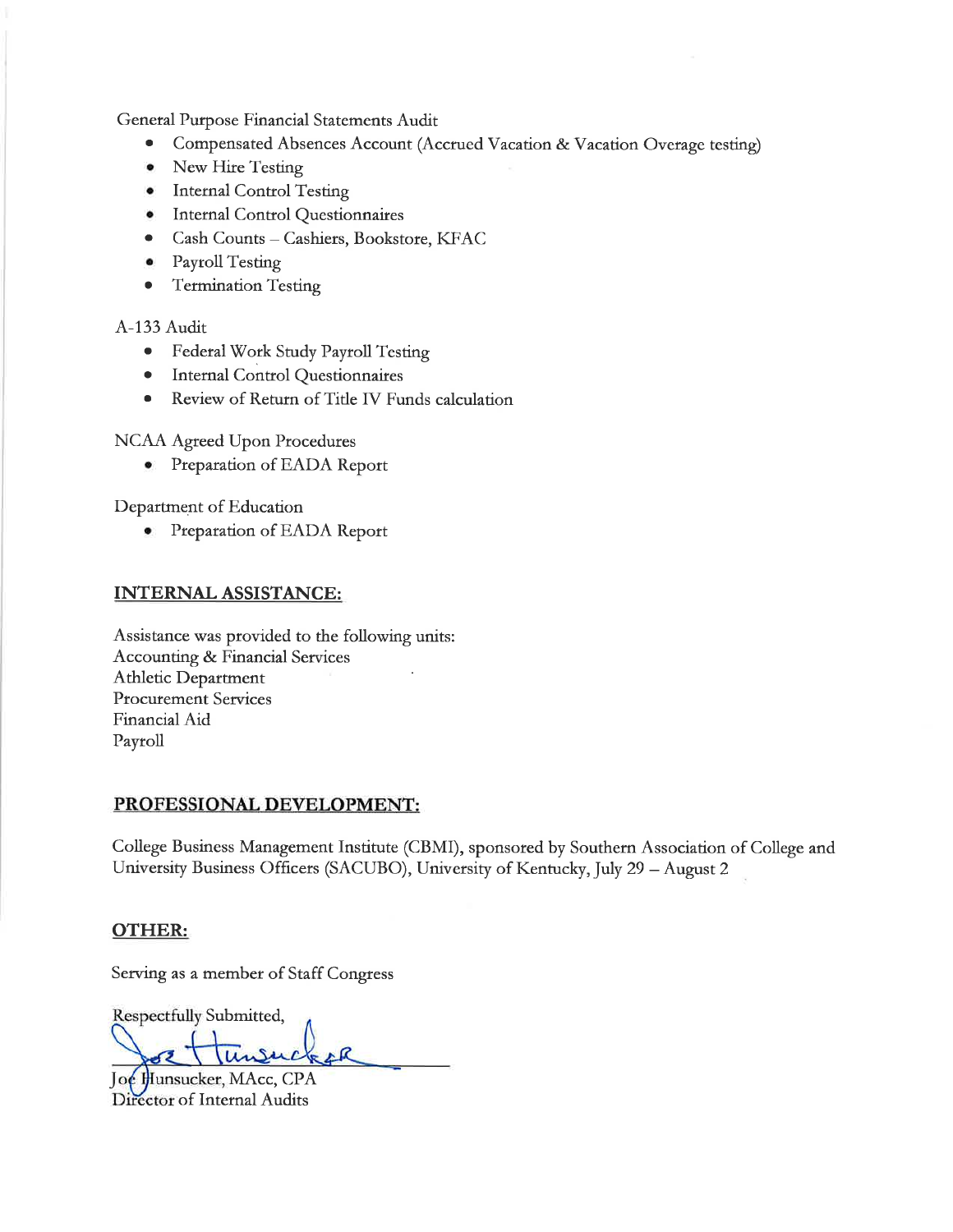General Purpose Financial Statements Audit

- Compensated Absences Account (Accrued Vacation & Vacation Overage testing)  $\bullet$
- New Hire Testing
- Internal Control Testing
- Internal Control Questionnaires
- Cash Counts Cashiers, Bookstore, KFAC
- Payroll Testing  $\bullet$
- **Termination Testing**  $\bullet$

A-133 Audit

- · Federal Work Study Payroll Testing
- Internal Control Questionnaires
- Review of Return of Title IV Funds calculation  $\bullet$

NCAA Agreed Upon Procedures

Preparation of EADA Report  $\bullet$ 

Department of Education

• Preparation of EADA Report

#### **INTERNAL ASSISTANCE:**

Assistance was provided to the following units: **Accounting & Financial Services Athletic Department Procurement Services** Financial Aid Payroll

#### PROFESSIONAL DEVELOPMENT:

College Business Management Institute (CBMI), sponsored by Southern Association of College and University Business Officers (SACUBO), University of Kentucky, July 29 - August 2

#### **OTHER:**

Serving as a member of Staff Congress

Respectfully Submitted,

Joe Hunsucker, MAcc, CPA Director of Internal Audits